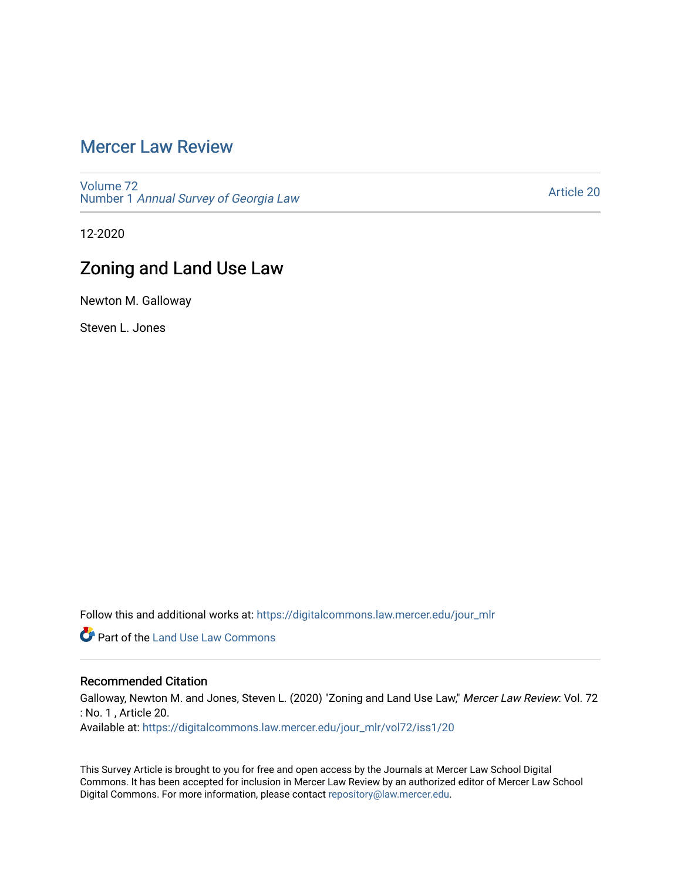# [Mercer Law Review](https://digitalcommons.law.mercer.edu/jour_mlr)

[Volume 72](https://digitalcommons.law.mercer.edu/jour_mlr/vol72) Number 1 [Annual Survey of Georgia Law](https://digitalcommons.law.mercer.edu/jour_mlr/vol72/iss1) 

[Article 20](https://digitalcommons.law.mercer.edu/jour_mlr/vol72/iss1/20) 

12-2020

# Zoning and Land Use Law

Newton M. Galloway

Steven L. Jones

Follow this and additional works at: [https://digitalcommons.law.mercer.edu/jour\\_mlr](https://digitalcommons.law.mercer.edu/jour_mlr?utm_source=digitalcommons.law.mercer.edu%2Fjour_mlr%2Fvol72%2Fiss1%2F20&utm_medium=PDF&utm_campaign=PDFCoverPages)

**Part of the Land Use Law Commons** 

## Recommended Citation

Galloway, Newton M. and Jones, Steven L. (2020) "Zoning and Land Use Law," Mercer Law Review: Vol. 72 : No. 1 , Article 20.

Available at: [https://digitalcommons.law.mercer.edu/jour\\_mlr/vol72/iss1/20](https://digitalcommons.law.mercer.edu/jour_mlr/vol72/iss1/20?utm_source=digitalcommons.law.mercer.edu%2Fjour_mlr%2Fvol72%2Fiss1%2F20&utm_medium=PDF&utm_campaign=PDFCoverPages) 

This Survey Article is brought to you for free and open access by the Journals at Mercer Law School Digital Commons. It has been accepted for inclusion in Mercer Law Review by an authorized editor of Mercer Law School Digital Commons. For more information, please contact [repository@law.mercer.edu](mailto:repository@law.mercer.edu).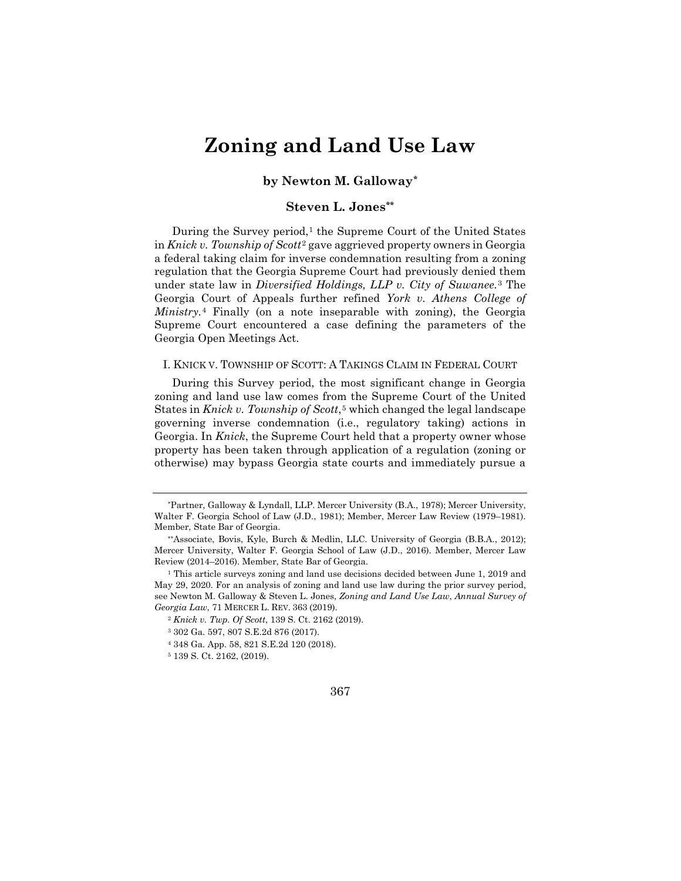# **Zoning and Land Use Law**

## **by Newton M. Galloway[\\*](#page-1-0)**

## **Steven L. Jones[\\*\\*](#page-1-1)**

During the Survey period,<sup>[1](#page-1-2)</sup> the Supreme Court of the United States in *Knick v. Township of Scott*[2](#page-1-3) gave aggrieved property owners in Georgia a federal taking claim for inverse condemnation resulting from a zoning regulation that the Georgia Supreme Court had previously denied them under state law in *Diversified Holdings, LLP v. City of Suwanee.*[3](#page-1-4) The Georgia Court of Appeals further refined *York v. Athens College of Ministry.*[4](#page-1-5) Finally (on a note inseparable with zoning), the Georgia Supreme Court encountered a case defining the parameters of the Georgia Open Meetings Act.

I. KNICK V. TOWNSHIP OF SCOTT: A TAKINGS CLAIM IN FEDERAL COURT

During this Survey period, the most significant change in Georgia zoning and land use law comes from the Supreme Court of the United States in *Knick v. Township of Scott*,<sup>[5](#page-1-6)</sup> which changed the legal landscape governing inverse condemnation (i.e., regulatory taking) actions in Georgia. In *Knick*, the Supreme Court held that a property owner whose property has been taken through application of a regulation (zoning or otherwise) may bypass Georgia state courts and immediately pursue a



<span id="page-1-0"></span><sup>\*</sup>Partner, Galloway & Lyndall, LLP. Mercer University (B.A., 1978); Mercer University, Walter F. Georgia School of Law (J.D., 1981); Member, Mercer Law Review (1979–1981). Member, State Bar of Georgia.

<span id="page-1-1"></span><sup>\*\*</sup>Associate, Bovis, Kyle, Burch & Medlin, LLC. University of Georgia (B.B.A., 2012); Mercer University, Walter F. Georgia School of Law (J.D., 2016). Member, Mercer Law Review (2014–2016). Member, State Bar of Georgia.

<span id="page-1-4"></span><span id="page-1-3"></span><span id="page-1-2"></span><sup>&</sup>lt;sup>1</sup> This article surveys zoning and land use decisions decided between June 1, 2019 and May 29, 2020. For an analysis of zoning and land use law during the prior survey period, see Newton M. Galloway & Steven L. Jones, *Zoning and Land Use Law*, *Annual Survey of Georgia Law*, 71 MERCER L. REV. 363 (2019).

<sup>2</sup> *Knick v. Twp. Of Scott*, 139 S. Ct. 2162 (2019).

<sup>3</sup> 302 Ga. 597, 807 S.E.2d 876 (2017).

<span id="page-1-5"></span><sup>4</sup> 348 Ga. App. 58, 821 S.E.2d 120 (2018).

<span id="page-1-6"></span><sup>5</sup> 139 S. Ct. 2162, (2019).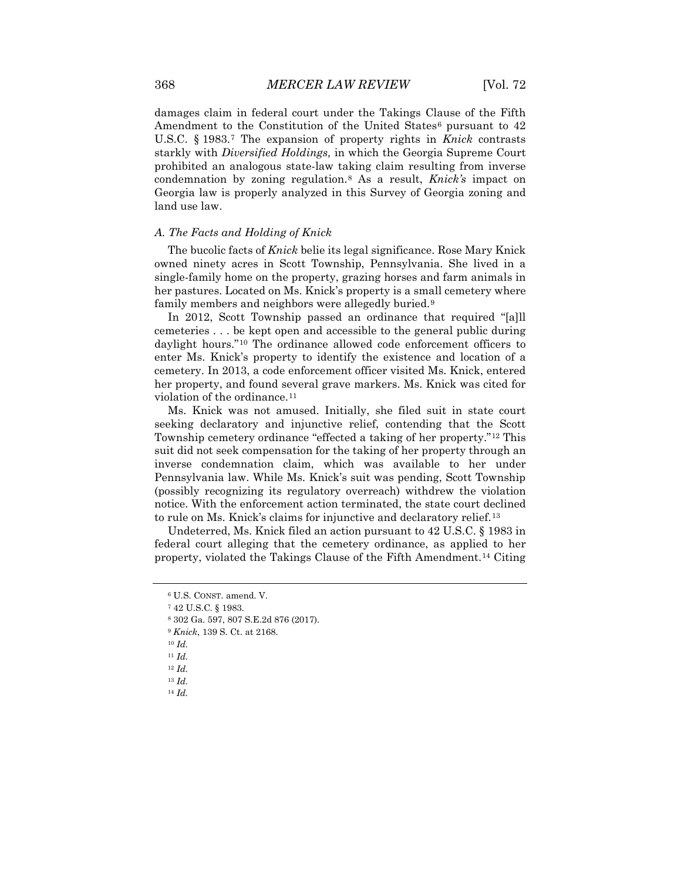damages claim in federal court under the Takings Clause of the Fifth Amendment to the Constitution of the United States<sup>[6](#page-2-0)</sup> pursuant to  $42$ U.S.C. § 1983.[7](#page-2-1) The expansion of property rights in *Knick* contrasts starkly with *Diversified Holdings,* in which the Georgia Supreme Court prohibited an analogous state-law taking claim resulting from inverse condemnation by zoning regulation.[8](#page-2-2) As a result, *Knick's* impact on Georgia law is properly analyzed in this Survey of Georgia zoning and land use law.

## *A. The Facts and Holding of Knick*

The bucolic facts of *Knick* belie its legal significance. Rose Mary Knick owned ninety acres in Scott Township, Pennsylvania. She lived in a single-family home on the property, grazing horses and farm animals in her pastures. Located on Ms. Knick's property is a small cemetery where family members and neighbors were allegedly buried.[9](#page-2-3)

In 2012, Scott Township passed an ordinance that required "[a]ll cemeteries . . . be kept open and accessible to the general public during daylight hours."[10](#page-2-4) The ordinance allowed code enforcement officers to enter Ms. Knick's property to identify the existence and location of a cemetery. In 2013, a code enforcement officer visited Ms. Knick, entered her property, and found several grave markers. Ms. Knick was cited for violation of the ordinance.<sup>[11](#page-2-5)</sup>

Ms. Knick was not amused. Initially, she filed suit in state court seeking declaratory and injunctive relief, contending that the Scott Township cemetery ordinance "effected a taking of her property."[12](#page-2-6) This suit did not seek compensation for the taking of her property through an inverse condemnation claim, which was available to her under Pennsylvania law. While Ms. Knick's suit was pending, Scott Township (possibly recognizing its regulatory overreach) withdrew the violation notice. With the enforcement action terminated, the state court declined to rule on Ms. Knick's claims for injunctive and declaratory relief.[13](#page-2-7)

Undeterred, Ms. Knick filed an action pursuant to 42 U.S.C. § 1983 in federal court alleging that the cemetery ordinance, as applied to her property, violated the Takings Clause of the Fifth Amendment.[14](#page-2-8) Citing

<span id="page-2-0"></span><sup>7</sup> 42 U.S.C. § 1983.

- <sup>9</sup> *Knick*, 139 S. Ct. at 2168.
- <sup>10</sup> *Id.*
- <span id="page-2-5"></span><sup>11</sup> *Id.*
- <span id="page-2-7"></span><span id="page-2-6"></span><sup>12</sup> *Id.*
- <sup>13</sup> *Id.*
- <span id="page-2-8"></span><sup>14</sup> *Id.*

<sup>6</sup> U.S. CONST. amend. V.

<span id="page-2-4"></span><span id="page-2-3"></span><span id="page-2-2"></span><span id="page-2-1"></span><sup>8</sup> 302 Ga. 597, 807 S.E.2d 876 (2017).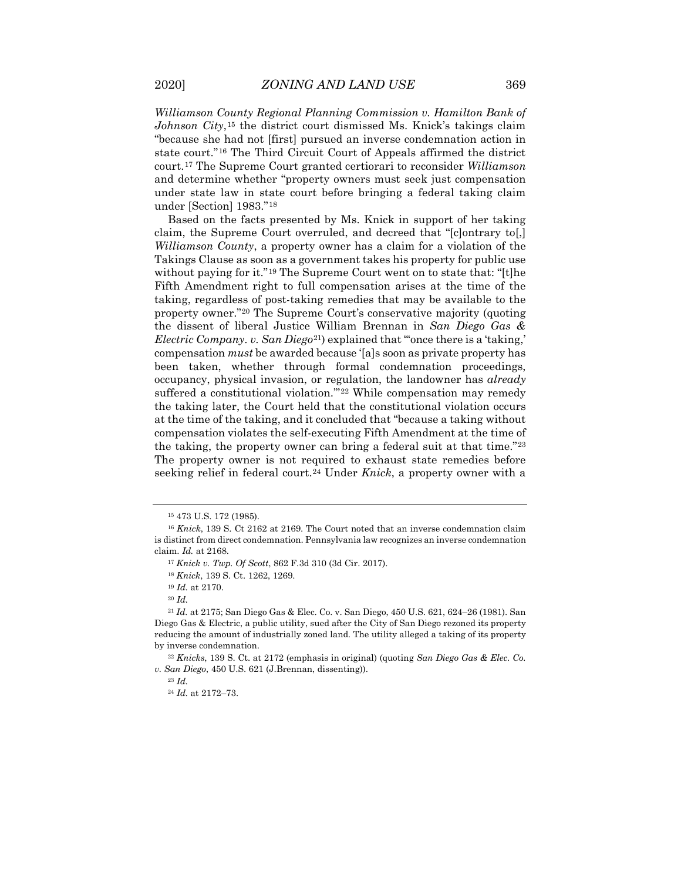*Williamson County Regional Planning Commission v. Hamilton Bank of Johnson City*,[15](#page-3-0) the district court dismissed Ms. Knick's takings claim "because she had not [first] pursued an inverse condemnation action in state court."[16](#page-3-1) The Third Circuit Court of Appeals affirmed the district court.[17](#page-3-2) The Supreme Court granted certiorari to reconsider *Williamson* and determine whether "property owners must seek just compensation under state law in state court before bringing a federal taking claim under [Section] 1983."[18](#page-3-3)

Based on the facts presented by Ms. Knick in support of her taking claim, the Supreme Court overruled, and decreed that "[c]ontrary to[,] *Williamson County*, a property owner has a claim for a violation of the Takings Clause as soon as a government takes his property for public use without paying for it."<sup>[19](#page-3-4)</sup> The Supreme Court went on to state that: "[t]he Fifth Amendment right to full compensation arises at the time of the taking, regardless of post-taking remedies that may be available to the property owner.["20](#page-3-5) The Supreme Court's conservative majority (quoting the dissent of liberal Justice William Brennan in *San Diego Gas & Electric Company. v. San Diego*[21](#page-3-6)) explained that "'once there is a 'taking,' compensation *must* be awarded because '[a]s soon as private property has been taken, whether through formal condemnation proceedings, occupancy, physical invasion, or regulation, the landowner has *already*  suffered a constitutional violation.""<sup>[22](#page-3-7)</sup> While compensation may remedy the taking later, the Court held that the constitutional violation occurs at the time of the taking, and it concluded that "because a taking without compensation violates the self-executing Fifth Amendment at the time of the taking, the property owner can bring a federal suit at that time."[23](#page-3-8) The property owner is not required to exhaust state remedies before seeking relief in federal court.[24](#page-3-9) Under *Knick*, a property owner with a

<sup>15</sup> 473 U.S. 172 (1985).

<span id="page-3-2"></span><span id="page-3-1"></span><span id="page-3-0"></span><sup>16</sup> *Knick*, 139 S. Ct 2162 at 2169. The Court noted that an inverse condemnation claim is distinct from direct condemnation. Pennsylvania law recognizes an inverse condemnation claim. *Id.* at 2168.

<sup>17</sup> *Knick v. Twp. Of Scott*, 862 F.3d 310 (3d Cir. 2017).

<sup>18</sup> *Knick*, 139 S. Ct. 1262, 1269.

<sup>19</sup> *Id.* at 2170.

<sup>20</sup> *Id.*

<span id="page-3-6"></span><span id="page-3-5"></span><span id="page-3-4"></span><span id="page-3-3"></span><sup>21</sup> *Id.* at 2175; San Diego Gas & Elec. Co. v. San Diego, 450 U.S. 621, 624–26 (1981). San Diego Gas & Electric, a public utility, sued after the City of San Diego rezoned its property reducing the amount of industrially zoned land. The utility alleged a taking of its property by inverse condemnation.

<span id="page-3-9"></span><span id="page-3-8"></span><span id="page-3-7"></span><sup>22</sup> *Knicks*, 139 S. Ct. at 2172 (emphasis in original) (quoting *San Diego Gas & Elec. Co. v. San Diego*, 450 U.S. 621 (J.Brennan, dissenting)).

<sup>23</sup> *Id.*

<sup>24</sup> *Id.* at 2172–73.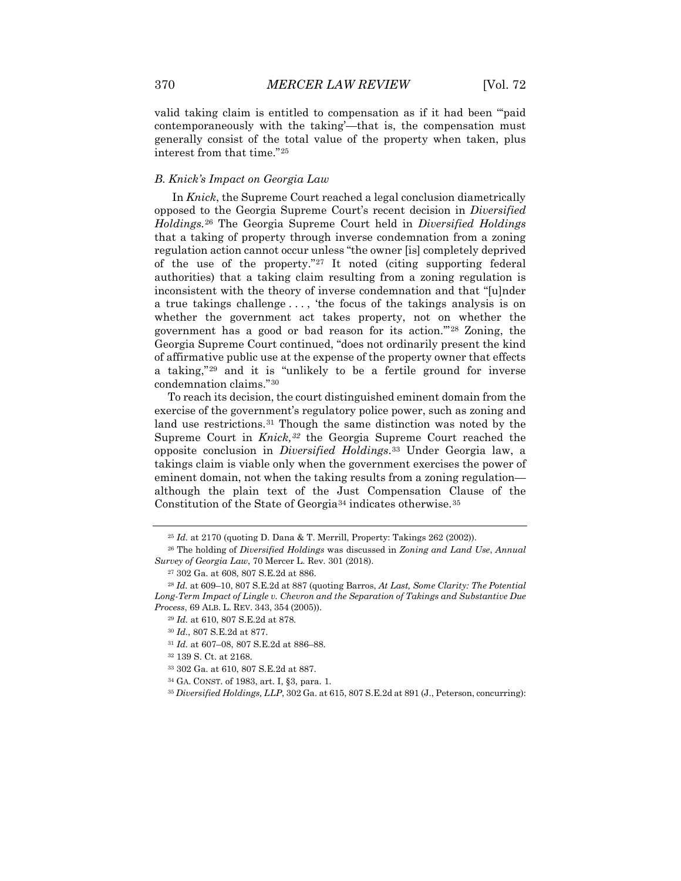valid taking claim is entitled to compensation as if it had been "'paid contemporaneously with the taking'—that is, the compensation must generally consist of the total value of the property when taken, plus interest from that time."[25](#page-4-0)

#### *B. Knick's Impact on Georgia Law*

In *Knick*, the Supreme Court reached a legal conclusion diametrically opposed to the Georgia Supreme Court's recent decision in *Diversified Holdings.*[26](#page-4-1) The Georgia Supreme Court held in *Diversified Holdings* that a taking of property through inverse condemnation from a zoning regulation action cannot occur unless "the owner [is] completely deprived of the use of the property."[27](#page-4-2) It noted (citing supporting federal authorities) that a taking claim resulting from a zoning regulation is inconsistent with the theory of inverse condemnation and that "[u]nder a true takings challenge . . . , 'the focus of the takings analysis is on whether the government act takes property, not on whether the government has a good or bad reason for its action.'"[28](#page-4-3) Zoning, the Georgia Supreme Court continued, "does not ordinarily present the kind of affirmative public use at the expense of the property owner that effects a taking,"[29](#page-4-4) and it is "unlikely to be a fertile ground for inverse condemnation claims."[30](#page-4-5)

To reach its decision, the court distinguished eminent domain from the exercise of the government's regulatory police power, such as zoning and land use restrictions.<sup>[31](#page-4-6)</sup> Though the same distinction was noted by the Supreme Court in *Knick,[32](#page-4-7)* the Georgia Supreme Court reached the opposite conclusion in *Diversified Holdings*.[33](#page-4-8) Under Georgia law, a takings claim is viable only when the government exercises the power of eminent domain, not when the taking results from a zoning regulation although the plain text of the Just Compensation Clause of the Constitution of the State of Georgia[34](#page-4-9) indicates otherwise.[35](#page-4-10)

<sup>25</sup> *Id.* at 2170 (quoting D. Dana & T. Merrill, Property: Takings 262 (2002)).

<span id="page-4-1"></span><span id="page-4-0"></span><sup>26</sup> The holding of *Diversified Holdings* was discussed in *Zoning and Land Use*, *Annual Survey of Georgia Law*, 70 Mercer L. Rev. 301 (2018).

<sup>27</sup> 302 Ga. at 608, 807 S.E.2d at 886.

<span id="page-4-6"></span><span id="page-4-5"></span><span id="page-4-4"></span><span id="page-4-3"></span><span id="page-4-2"></span><sup>28</sup> *Id.* at 609–10, 807 S.E.2d at 887 (quoting Barros, *At Last, Some Clarity: The Potential Long-Term Impact of Lingle v. Chevron and the Separation of Takings and Substantive Due Process*, 69 ALB. L. REV. 343, 354 (2005)).

<sup>29</sup> *Id.* at 610, 807 S.E.2d at 878.

<sup>30</sup> *Id.*, 807 S.E.2d at 877.

<sup>31</sup> *Id.* at 607–08, 807 S.E.2d at 886–88.

<span id="page-4-7"></span><sup>32</sup> 139 S. Ct. at 2168.

<span id="page-4-8"></span><sup>33</sup> 302 Ga. at 610, 807 S.E.2d at 887.

<sup>34</sup> GA. CONST. of 1983, art. I, §3, para. 1.

<span id="page-4-10"></span><span id="page-4-9"></span><sup>35</sup> *Diversified Holdings, LLP*, 302 Ga. at 615, 807 S.E.2d at 891 (J., Peterson, concurring):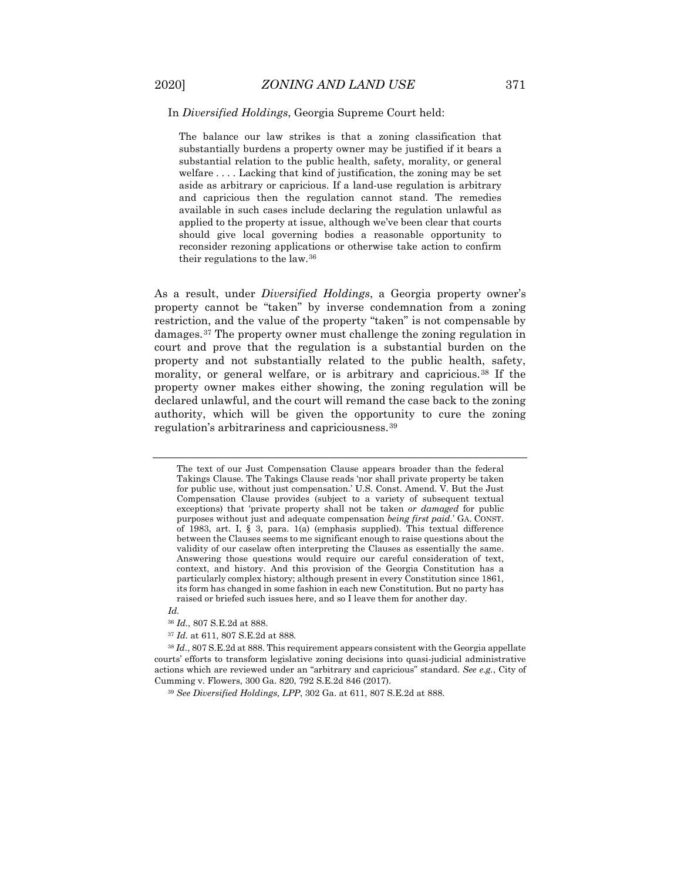#### In *Diversified Holdings*, Georgia Supreme Court held:

The balance our law strikes is that a zoning classification that substantially burdens a property owner may be justified if it bears a substantial relation to the public health, safety, morality, or general welfare ... Lacking that kind of justification, the zoning may be set aside as arbitrary or capricious. If a land-use regulation is arbitrary and capricious then the regulation cannot stand. The remedies available in such cases include declaring the regulation unlawful as applied to the property at issue, although we've been clear that courts should give local governing bodies a reasonable opportunity to reconsider rezoning applications or otherwise take action to confirm their regulations to the law.[36](#page-5-0)

As a result, under *Diversified Holdings*, a Georgia property owner's property cannot be "taken" by inverse condemnation from a zoning restriction, and the value of the property "taken" is not compensable by damages.[37](#page-5-1) The property owner must challenge the zoning regulation in court and prove that the regulation is a substantial burden on the property and not substantially related to the public health, safety, morality, or general welfare, or is arbitrary and capricious.[38](#page-5-2) If the property owner makes either showing, the zoning regulation will be declared unlawful, and the court will remand the case back to the zoning authority, which will be given the opportunity to cure the zoning regulation's arbitrariness and capriciousness.[39](#page-5-3)

<sup>37</sup> *Id.* at 611, 807 S.E.2d at 888.

The text of our Just Compensation Clause appears broader than the federal Takings Clause. The Takings Clause reads 'nor shall private property be taken for public use, without just compensation.' U.S. Const. Amend. V. But the Just Compensation Clause provides (subject to a variety of subsequent textual exceptions) that 'private property shall not be taken *or damaged* for public purposes without just and adequate compensation *being first paid.*' GA. CONST. of 1983, art. I, § 3, para. 1(a) (emphasis supplied). This textual difference between the Clauses seems to me significant enough to raise questions about the validity of our caselaw often interpreting the Clauses as essentially the same. Answering those questions would require our careful consideration of text, context, and history. And this provision of the Georgia Constitution has a particularly complex history; although present in every Constitution since 1861, its form has changed in some fashion in each new Constitution. But no party has raised or briefed such issues here, and so I leave them for another day.

*Id.* 

<sup>36</sup> *Id.*, 807 S.E.2d at 888.

<span id="page-5-3"></span><span id="page-5-2"></span><span id="page-5-1"></span><span id="page-5-0"></span><sup>38</sup> *Id.*, 807 S.E.2d at 888. This requirement appears consistent with the Georgia appellate courts' efforts to transform legislative zoning decisions into quasi-judicial administrative actions which are reviewed under an "arbitrary and capricious" standard. *See e.g.*, City of Cumming v. Flowers, 300 Ga. 820, 792 S.E.2d 846 (2017).

<sup>39</sup> *See Diversified Holdings, LPP*, 302 Ga. at 611, 807 S.E.2d at 888.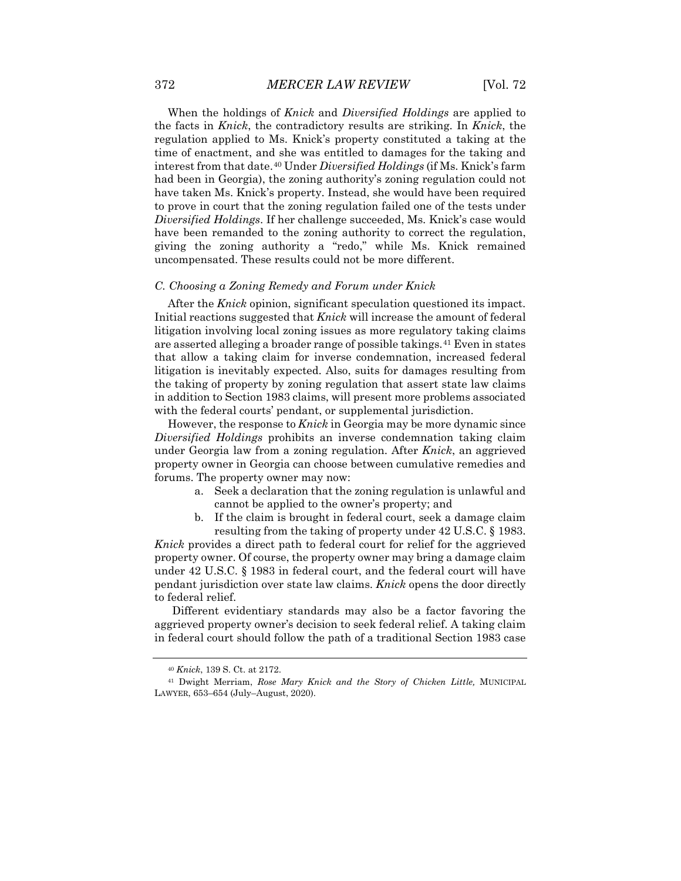When the holdings of *Knick* and *Diversified Holdings* are applied to the facts in *Knick*, the contradictory results are striking. In *Knick*, the regulation applied to Ms. Knick's property constituted a taking at the time of enactment, and she was entitled to damages for the taking and interest from that date.[40](#page-6-0) Under *Diversified Holdings* (if Ms. Knick's farm had been in Georgia), the zoning authority's zoning regulation could not have taken Ms. Knick's property. Instead, she would have been required to prove in court that the zoning regulation failed one of the tests under *Diversified Holdings*. If her challenge succeeded, Ms. Knick's case would have been remanded to the zoning authority to correct the regulation, giving the zoning authority a "redo," while Ms. Knick remained uncompensated. These results could not be more different.

#### *C. Choosing a Zoning Remedy and Forum under Knick*

After the *Knick* opinion, significant speculation questioned its impact. Initial reactions suggested that *Knick* will increase the amount of federal litigation involving local zoning issues as more regulatory taking claims are asserted alleging a broader range of possible takings.[41](#page-6-1) Even in states that allow a taking claim for inverse condemnation, increased federal litigation is inevitably expected. Also, suits for damages resulting from the taking of property by zoning regulation that assert state law claims in addition to Section 1983 claims, will present more problems associated with the federal courts' pendant, or supplemental jurisdiction.

However, the response to *Knick* in Georgia may be more dynamic since *Diversified Holdings* prohibits an inverse condemnation taking claim under Georgia law from a zoning regulation. After *Knick*, an aggrieved property owner in Georgia can choose between cumulative remedies and forums. The property owner may now:

- a. Seek a declaration that the zoning regulation is unlawful and cannot be applied to the owner's property; and
- b. If the claim is brought in federal court, seek a damage claim resulting from the taking of property under 42 U.S.C. § 1983.

*Knick* provides a direct path to federal court for relief for the aggrieved property owner. Of course, the property owner may bring a damage claim under 42 U.S.C. § 1983 in federal court, and the federal court will have pendant jurisdiction over state law claims. *Knick* opens the door directly to federal relief.

Different evidentiary standards may also be a factor favoring the aggrieved property owner's decision to seek federal relief. A taking claim in federal court should follow the path of a traditional Section 1983 case

<sup>40</sup> *Knick*, 139 S. Ct. at 2172.

<span id="page-6-1"></span><span id="page-6-0"></span><sup>41</sup> Dwight Merriam, *Rose Mary Knick and the Story of Chicken Little,* MUNICIPAL LAWYER, 653–654 (July–August, 2020).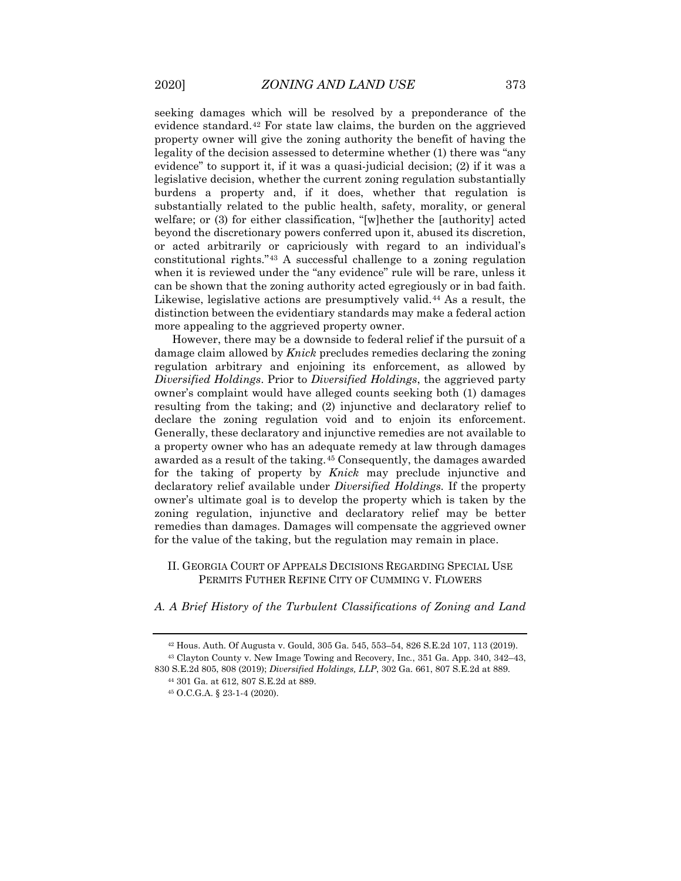seeking damages which will be resolved by a preponderance of the evidence standard.[42](#page-7-0) For state law claims, the burden on the aggrieved property owner will give the zoning authority the benefit of having the legality of the decision assessed to determine whether (1) there was "any evidence" to support it, if it was a quasi-judicial decision; (2) if it was a legislative decision, whether the current zoning regulation substantially burdens a property and, if it does, whether that regulation is substantially related to the public health, safety, morality, or general welfare; or (3) for either classification, "[w]hether the [authority] acted beyond the discretionary powers conferred upon it, abused its discretion, or acted arbitrarily or capriciously with regard to an individual's constitutional rights."[43](#page-7-1) A successful challenge to a zoning regulation when it is reviewed under the "any evidence" rule will be rare, unless it can be shown that the zoning authority acted egregiously or in bad faith. Likewise, legislative actions are presumptively valid.[44](#page-7-2) As a result, the distinction between the evidentiary standards may make a federal action more appealing to the aggrieved property owner.

However, there may be a downside to federal relief if the pursuit of a damage claim allowed by *Knick* precludes remedies declaring the zoning regulation arbitrary and enjoining its enforcement, as allowed by *Diversified Holdings*. Prior to *Diversified Holdings*, the aggrieved party owner's complaint would have alleged counts seeking both (1) damages resulting from the taking; and (2) injunctive and declaratory relief to declare the zoning regulation void and to enjoin its enforcement. Generally, these declaratory and injunctive remedies are not available to a property owner who has an adequate remedy at law through damages awarded as a result of the taking.[45](#page-7-3) Consequently, the damages awarded for the taking of property by *Knick* may preclude injunctive and declaratory relief available under *Diversified Holdings.* If the property owner's ultimate goal is to develop the property which is taken by the zoning regulation, injunctive and declaratory relief may be better remedies than damages. Damages will compensate the aggrieved owner for the value of the taking, but the regulation may remain in place.

### II. GEORGIA COURT OF APPEALS DECISIONS REGARDING SPECIAL USE PERMITS FUTHER REFINE CITY OF CUMMING V. FLOWERS

*A. A Brief History of the Turbulent Classifications of Zoning and Land* 

<sup>42</sup> Hous. Auth. Of Augusta v. Gould, 305 Ga. 545, 553–54, 826 S.E.2d 107, 113 (2019).

<span id="page-7-3"></span><span id="page-7-2"></span><span id="page-7-1"></span><span id="page-7-0"></span><sup>43</sup> Clayton County v. New Image Towing and Recovery, Inc*.*, 351 Ga. App. 340, 342–43, 830 S.E.2d 805, 808 (2019); *Diversified Holdings, LLP*, 302 Ga. 661, 807 S.E.2d at 889.

<sup>44</sup> 301 Ga. at 612, 807 S.E.2d at 889.

<sup>45</sup> O.C.G.A. § 23-1-4 (2020).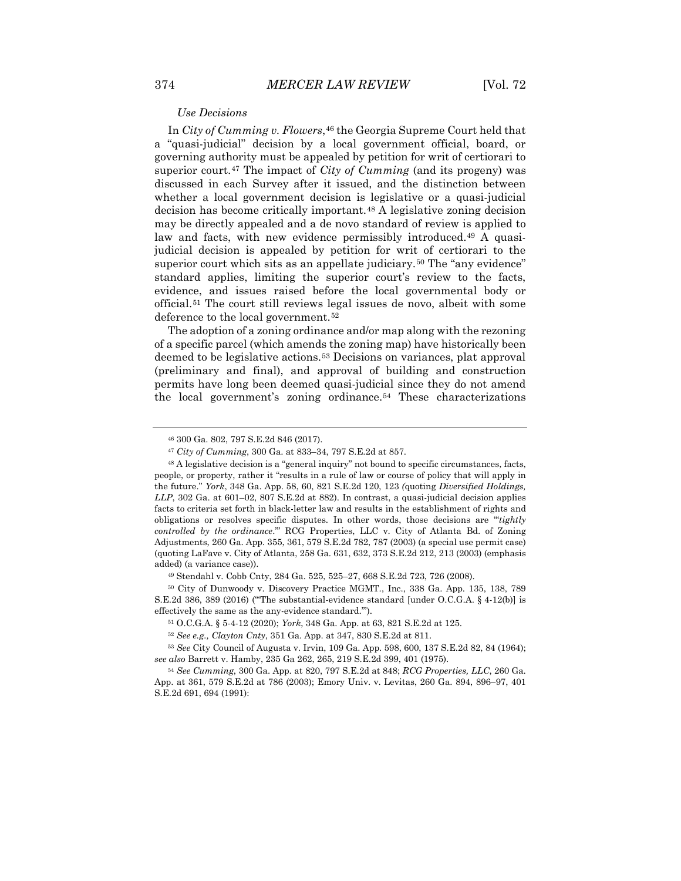#### *Use Decisions*

In *City of Cumming v. Flowers*,<sup>[46](#page-8-0)</sup> the Georgia Supreme Court held that a "quasi-judicial" decision by a local government official, board, or governing authority must be appealed by petition for writ of certiorari to superior court.[47](#page-8-1) The impact of *City of Cumming* (and its progeny) was discussed in each Survey after it issued, and the distinction between whether a local government decision is legislative or a quasi-judicial decision has become critically important.[48](#page-8-2) A legislative zoning decision may be directly appealed and a de novo standard of review is applied to law and facts, with new evidence permissibly introduced.<sup>[49](#page-8-3)</sup> A quasijudicial decision is appealed by petition for writ of certiorari to the superior court which sits as an appellate judiciary.[50](#page-8-4) The "any evidence" standard applies, limiting the superior court's review to the facts, evidence, and issues raised before the local governmental body or official.[51](#page-8-5) The court still reviews legal issues de novo, albeit with some deference to the local government.<sup>[52](#page-8-6)</sup>

The adoption of a zoning ordinance and/or map along with the rezoning of a specific parcel (which amends the zoning map) have historically been deemed to be legislative actions.[53](#page-8-7) Decisions on variances, plat approval (preliminary and final), and approval of building and construction permits have long been deemed quasi-judicial since they do not amend the local government's zoning ordinance.[54](#page-8-8) These characterizations

<sup>49</sup> Stendahl v. Cobb Cnty, 284 Ga. 525, 525–27, 668 S.E.2d 723, 726 (2008).

<sup>46</sup> 300 Ga. 802, 797 S.E.2d 846 (2017).

<sup>47</sup> *City of Cumming*, 300 Ga. at 833–34, 797 S.E.2d at 857.

<span id="page-8-2"></span><span id="page-8-1"></span><span id="page-8-0"></span><sup>48</sup> A legislative decision is a "general inquiry" not bound to specific circumstances, facts, people, or property, rather it "results in a rule of law or course of policy that will apply in the future." *York*, 348 Ga. App. 58, 60, 821 S.E.2d 120, 123 *(*quoting *Diversified Holdings, LLP*, 302 Ga. at 601–02, 807 S.E.2d at 882). In contrast, a quasi-judicial decision applies facts to criteria set forth in black-letter law and results in the establishment of rights and obligations or resolves specific disputes. In other words, those decisions are "'*tightly controlled by the ordinance*.'" RCG Properties, LLC v. City of Atlanta Bd. of Zoning Adjustments, 260 Ga. App. 355, 361, 579 S.E.2d 782, 787 (2003) (a special use permit case) (quoting LaFave v. City of Atlanta, 258 Ga. 631, 632, 373 S.E.2d 212, 213 (2003) (emphasis added) (a variance case)).

<span id="page-8-4"></span><span id="page-8-3"></span><sup>50</sup> City of Dunwoody v. Discovery Practice MGMT., Inc., 338 Ga. App. 135, 138, 789 S.E.2d 386, 389 (2016) ("'The substantial-evidence standard [under O.C.G.A. § 4-12(b)] is effectively the same as the any-evidence standard.'").

<sup>51</sup> O.C.G.A. § 5-4-12 (2020); *York*, 348 Ga. App. at 63, 821 S.E.2d at 125.

<sup>52</sup> *See e.g., Clayton Cnty*, 351 Ga. App. at 347, 830 S.E.2d at 811.

<span id="page-8-7"></span><span id="page-8-6"></span><span id="page-8-5"></span><sup>53</sup> *See* City Council of Augusta v. Irvin, 109 Ga. App. 598, 600, 137 S.E.2d 82, 84 (1964); *see also* Barrett v. Hamby, 235 Ga 262, 265, 219 S.E.2d 399, 401 (1975).

<span id="page-8-8"></span><sup>54</sup> *See Cumming*, 300 Ga. App. at 820, 797 S.E.2d at 848; *RCG Properties, LLC*, 260 Ga. App. at 361, 579 S.E.2d at 786 (2003); Emory Univ. v. Levitas, 260 Ga. 894, 896–97, 401 S.E.2d 691, 694 (1991):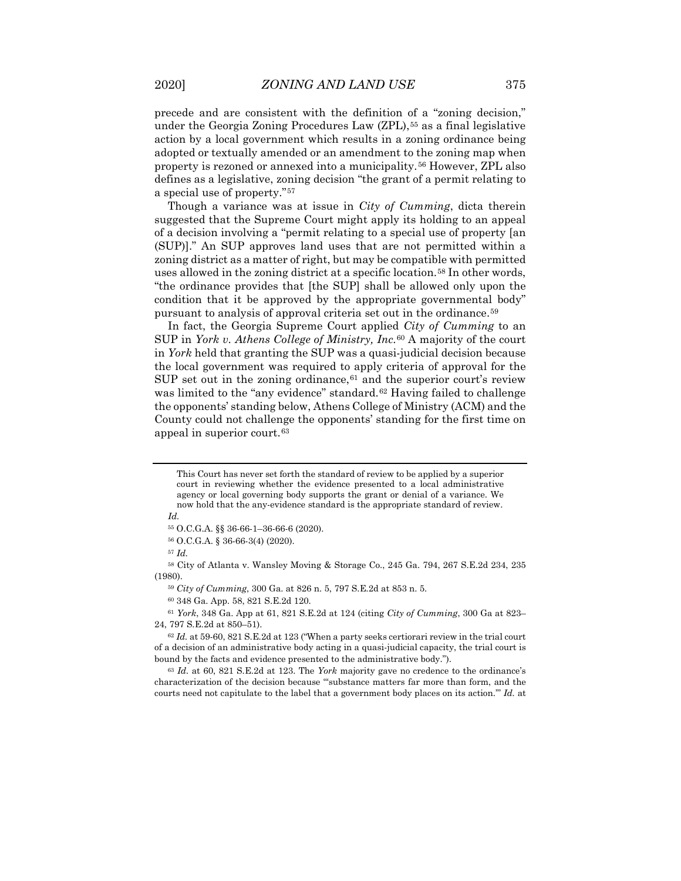precede and are consistent with the definition of a "zoning decision," under the Georgia Zoning Procedures Law  $(ZPL)$ ,<sup>[55](#page-9-0)</sup> as a final legislative action by a local government which results in a zoning ordinance being adopted or textually amended or an amendment to the zoning map when property is rezoned or annexed into a municipality.[56](#page-9-1) However, ZPL also defines as a legislative, zoning decision "the grant of a permit relating to a special use of property."[57](#page-9-2)

Though a variance was at issue in *City of Cumming*, dicta therein suggested that the Supreme Court might apply its holding to an appeal of a decision involving a "permit relating to a special use of property [an (SUP)]." An SUP approves land uses that are not permitted within a zoning district as a matter of right, but may be compatible with permitted uses allowed in the zoning district at a specific location.[58](#page-9-3) In other words, "the ordinance provides that [the SUP] shall be allowed only upon the condition that it be approved by the appropriate governmental body" pursuant to analysis of approval criteria set out in the ordinance.[59](#page-9-4)

In fact, the Georgia Supreme Court applied *City of Cumming* to an SUP in *York v. Athens College of Ministry, Inc.*[60](#page-9-5) A majority of the court in *York* held that granting the SUP was a quasi-judicial decision because the local government was required to apply criteria of approval for the SUP set out in the zoning ordinance,<sup>[61](#page-9-6)</sup> and the superior court's review was limited to the "any evidence" standard.<sup>[62](#page-9-7)</sup> Having failed to challenge the opponents' standing below, Athens College of Ministry (ACM) and the County could not challenge the opponents' standing for the first time on appeal in superior court.<sup>[63](#page-9-8)</sup>

*Id.*

<sup>57</sup> *Id.*

<span id="page-9-4"></span><span id="page-9-3"></span><span id="page-9-2"></span><span id="page-9-1"></span><span id="page-9-0"></span><sup>58</sup> City of Atlanta v. Wansley Moving & Storage Co., 245 Ga. 794, 267 S.E.2d 234, 235 (1980).

<sup>59</sup> *City of Cumming*, 300 Ga. at 826 n. 5, 797 S.E.2d at 853 n. 5.

<sup>60</sup> 348 Ga. App. 58, 821 S.E.2d 120.

<span id="page-9-6"></span><span id="page-9-5"></span><sup>61</sup> *York*, 348 Ga. App at 61, 821 S.E.2d at 124 (citing *City of Cumming*, 300 Ga at 823– 24, 797 S.E.2d at 850–51).

<span id="page-9-7"></span><sup>62</sup> *Id.* at 59-60, 821 S.E.2d at 123 ("When a party seeks certiorari review in the trial court of a decision of an administrative body acting in a quasi-judicial capacity, the trial court is bound by the facts and evidence presented to the administrative body.").

<span id="page-9-8"></span><sup>63</sup> *Id.* at 60, 821 S.E.2d at 123. The *York* majority gave no credence to the ordinance's characterization of the decision because "'substance matters far more than form, and the courts need not capitulate to the label that a government body places on its action.'" *Id.* at

This Court has never set forth the standard of review to be applied by a superior court in reviewing whether the evidence presented to a local administrative agency or local governing body supports the grant or denial of a variance. We now hold that the any-evidence standard is the appropriate standard of review.

<sup>55</sup> O.C.G.A. §§ 36-66-1–36-66-6 (2020).

<sup>56</sup> O.C.G.A. § 36-66-3(4) (2020).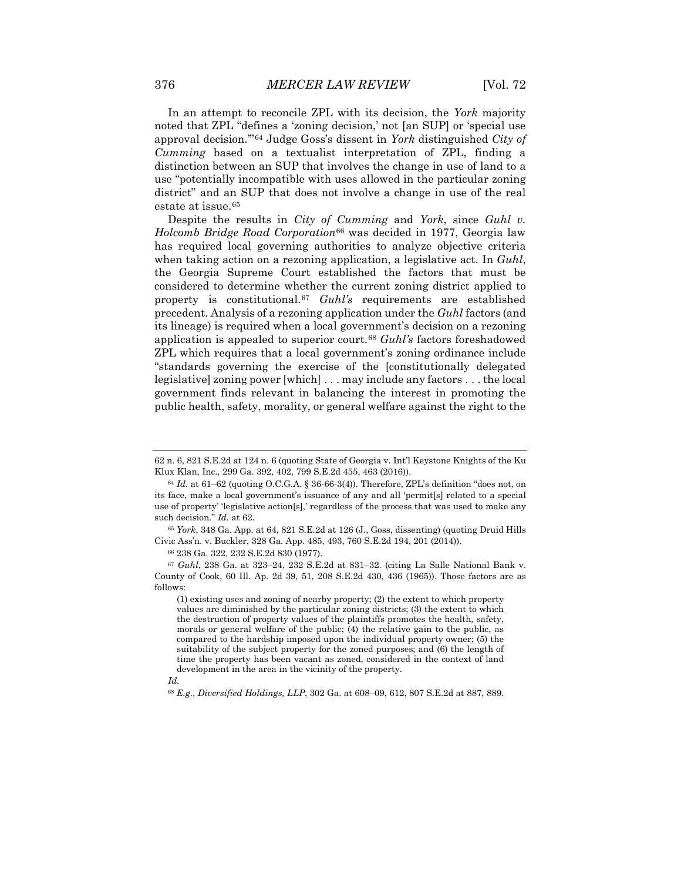In an attempt to reconcile ZPL with its decision, the *York* majority noted that ZPL "defines a 'zoning decision,' not [an SUP] or 'special use approval decision.'"[64](#page-10-0) Judge Goss's dissent in *York* distinguished *City of Cumming* based on a textualist interpretation of ZPL, finding a distinction between an SUP that involves the change in use of land to a use "potentially incompatible with uses allowed in the particular zoning district" and an SUP that does not involve a change in use of the real estate at issue.[65](#page-10-1)

Despite the results in *City of Cumming* and *York*, since *Guhl v. Holcomb Bridge Road Corporation*[66](#page-10-2) was decided in 1977, Georgia law has required local governing authorities to analyze objective criteria when taking action on a rezoning application, a legislative act. In *Guhl*, the Georgia Supreme Court established the factors that must be considered to determine whether the current zoning district applied to property is constitutional.[67](#page-10-3) *Guhl's* requirements are established precedent. Analysis of a rezoning application under the *Guhl* factors (and its lineage) is required when a local government's decision on a rezoning application is appealed to superior court.[68](#page-10-4) *Guhl's* factors foreshadowed ZPL which requires that a local government's zoning ordinance include "standards governing the exercise of the [constitutionally delegated legislative] zoning power [which] . . . may include any factors . . . the local government finds relevant in balancing the interest in promoting the public health, safety, morality, or general welfare against the right to the

<span id="page-10-1"></span><sup>65</sup> *York*, 348 Ga. App. at 64, 821 S.E.2d at 126 (J., Goss, dissenting) (quoting Druid Hills Civic Ass'n. v. Buckler, 328 Ga. App. 485, 493, 760 S.E.2d 194, 201 (2014)).

<sup>66</sup> 238 Ga. 322, 232 S.E.2d 830 (1977).

<span id="page-10-3"></span><span id="page-10-2"></span><sup>67</sup> *Guhl*, 238 Ga. at 323–24, 232 S.E.2d at 831–32. (citing La Salle National Bank v. County of Cook, 60 Ill. Ap. 2d 39, 51, 208 S.E.2d 430, 436 (1965)). Those factors are as follows:

(1) existing uses and zoning of nearby property; (2) the extent to which property values are diminished by the particular zoning districts; (3) the extent to which the destruction of property values of the plaintiffs promotes the health, safety, morals or general welfare of the public; (4) the relative gain to the public, as compared to the hardship imposed upon the individual property owner; (5) the suitability of the subject property for the zoned purposes; and (6) the length of time the property has been vacant as zoned, considered in the context of land development in the area in the vicinity of the property.

<span id="page-10-4"></span>*Id.*

<sup>68</sup> *E.g.*, *Diversified Holdings, LLP*, 302 Ga. at 608–09, 612, 807 S.E.2d at 887, 889.

<sup>62</sup> n. 6, 821 S.E.2d at 124 n. 6 (quoting State of Georgia v. Int'l Keystone Knights of the Ku Klux Klan, Inc., 299 Ga. 392, 402, 799 S.E.2d 455, 463 (2016)).

<span id="page-10-0"></span><sup>64</sup> *Id.* at 61–62 (quoting O.C.G.A. § 36-66-3(4)). Therefore, ZPL's definition "does not, on its face, make a local government's issuance of any and all 'permit[s] related to a special use of property' 'legislative action[s],' regardless of the process that was used to make any such decision." *Id.* at 62.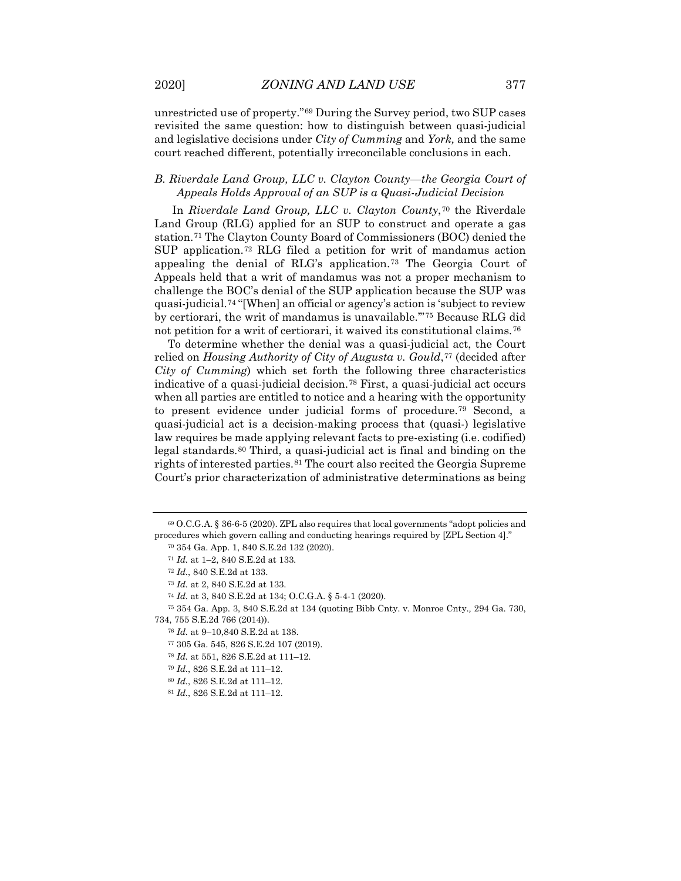unrestricted use of property."[69](#page-11-0) During the Survey period, two SUP cases revisited the same question: how to distinguish between quasi-judicial and legislative decisions under *City of Cumming* and *York,* and the same court reached different, potentially irreconcilable conclusions in each.

## *B. Riverdale Land Group, LLC v. Clayton County—the Georgia Court of Appeals Holds Approval of an SUP is a Quasi-Judicial Decision*

In *Riverdale Land Group, LLC v. Clayton County*,[70](#page-11-1) the Riverdale Land Group (RLG) applied for an SUP to construct and operate a gas station.[71](#page-11-2) The Clayton County Board of Commissioners (BOC) denied the SUP application.[72](#page-11-3) RLG filed a petition for writ of mandamus action appealing the denial of RLG's application.[73](#page-11-4) The Georgia Court of Appeals held that a writ of mandamus was not a proper mechanism to challenge the BOC's denial of the SUP application because the SUP was quasi-judicial.[74](#page-11-5) "[When] an official or agency's action is 'subject to review by certiorari, the writ of mandamus is unavailable.'"[75](#page-11-6) Because RLG did not petition for a writ of certiorari, it waived its constitutional claims.<sup>[76](#page-11-7)</sup>

To determine whether the denial was a quasi-judicial act, the Court relied on *Housing Authority of City of Augusta v. Gould*,<sup>[77](#page-11-8)</sup> (decided after *City of Cumming*) which set forth the following three characteristics indicative of a quasi-judicial decision.[78](#page-11-9) First, a quasi-judicial act occurs when all parties are entitled to notice and a hearing with the opportunity to present evidence under judicial forms of procedure.[79](#page-11-10) Second, a quasi-judicial act is a decision-making process that (quasi-) legislative law requires be made applying relevant facts to pre-existing (i.e. codified) legal standards.[80](#page-11-11) Third, a quasi-judicial act is final and binding on the rights of interested parties.[81](#page-11-12) The court also recited the Georgia Supreme Court's prior characterization of administrative determinations as being

<sup>80</sup> *Id.*, 826 S.E.2d at 111–12.

<span id="page-11-2"></span><span id="page-11-1"></span><span id="page-11-0"></span><sup>69</sup> O.C.G.A. § 36-6-5 (2020). ZPL also requires that local governments "adopt policies and procedures which govern calling and conducting hearings required by [ZPL Section 4]."

<sup>70</sup> 354 Ga. App. 1, 840 S.E.2d 132 (2020).

<sup>71</sup> *Id.* at 1–2, 840 S.E.2d at 133.

<sup>72</sup> *Id.*, 840 S.E.2d at 133.

<sup>73</sup> *Id.* at 2, 840 S.E.2d at 133.

<sup>74</sup> *Id.* at 3, 840 S.E.2d at 134; O.C.G.A. § 5-4-1 (2020).

<span id="page-11-10"></span><span id="page-11-9"></span><span id="page-11-8"></span><span id="page-11-7"></span><span id="page-11-6"></span><span id="page-11-5"></span><span id="page-11-4"></span><span id="page-11-3"></span><sup>75</sup> 354 Ga. App. 3, 840 S.E.2d at 134 (quoting Bibb Cnty. v. Monroe Cnty.*,* 294 Ga. 730, 734, 755 S.E.2d 766 (2014)).

<sup>76</sup> *Id.* at 9–10,840 S.E.2d at 138.

<sup>77</sup> 305 Ga. 545, 826 S.E.2d 107 (2019).

<sup>78</sup> *Id.* at 551, 826 S.E.2d at 111–12.

<sup>79</sup> *Id.*, 826 S.E.2d at 111–12.

<span id="page-11-12"></span><span id="page-11-11"></span><sup>81</sup> *Id.*, 826 S.E.2d at 111–12.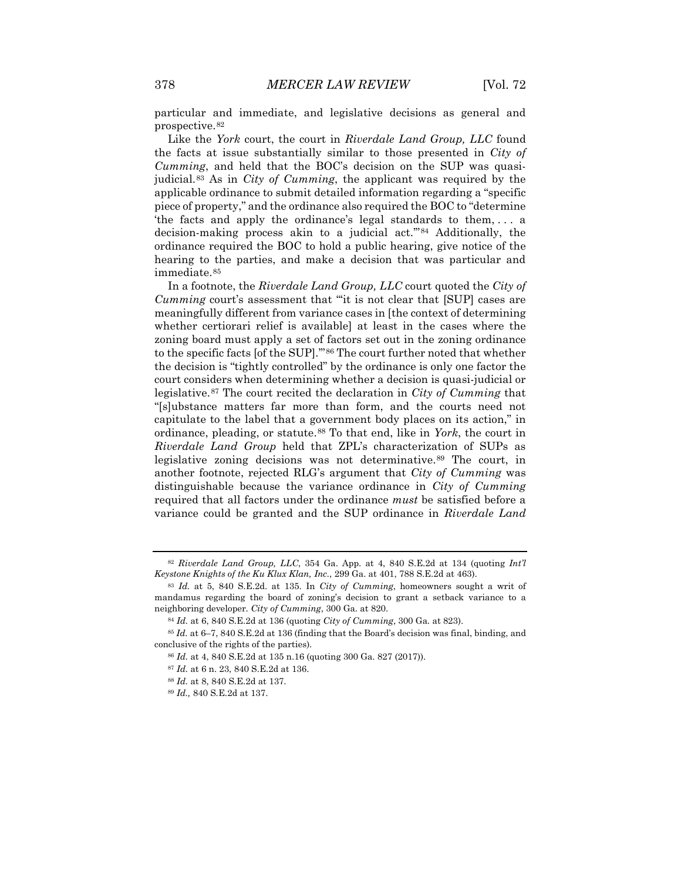particular and immediate, and legislative decisions as general and prospective.[82](#page-12-0)

Like the *York* court, the court in *Riverdale Land Group, LLC* found the facts at issue substantially similar to those presented in *City of Cumming*, and held that the BOC's decision on the SUP was quasijudicial.[83](#page-12-1) As in *City of Cumming*, the applicant was required by the applicable ordinance to submit detailed information regarding a "specific piece of property," and the ordinance also required the BOC to "determine 'the facts and apply the ordinance's legal standards to them, . . . a decision-making process akin to a judicial act.'"[84](#page-12-2) Additionally, the ordinance required the BOC to hold a public hearing, give notice of the hearing to the parties, and make a decision that was particular and immediate.<sup>[85](#page-12-3)</sup>

In a footnote, the *Riverdale Land Group, LLC* court quoted the *City of Cumming* court's assessment that "'it is not clear that [SUP] cases are meaningfully different from variance cases in [the context of determining whether certiorari relief is available] at least in the cases where the zoning board must apply a set of factors set out in the zoning ordinance to the specific facts [of the SUP].'"[86](#page-12-4) The court further noted that whether the decision is "tightly controlled" by the ordinance is only one factor the court considers when determining whether a decision is quasi-judicial or legislative.[87](#page-12-5) The court recited the declaration in *City of Cumming* that "[s]ubstance matters far more than form, and the courts need not capitulate to the label that a government body places on its action," in ordinance, pleading, or statute.[88](#page-12-6) To that end, like in *York*, the court in *Riverdale Land Group* held that ZPL's characterization of SUPs as legislative zoning decisions was not determinative.<sup>[89](#page-12-7)</sup> The court, in another footnote, rejected RLG's argument that *City of Cumming* was distinguishable because the variance ordinance in *City of Cumming* required that all factors under the ordinance *must* be satisfied before a variance could be granted and the SUP ordinance in *Riverdale Land* 

<sup>87</sup> *Id.* at 6 n. 23, 840 S.E.2d at 136.

<span id="page-12-0"></span><sup>82</sup> *Riverdale Land Group, LLC*, 354 Ga. App. at 4, 840 S.E.2d at 134 (quoting *Int'l Keystone Knights of the Ku Klux Klan, Inc.*, 299 Ga. at 401, 788 S.E.2d at 463).

<span id="page-12-1"></span><sup>83</sup> *Id.* at 5, 840 S.E.2d. at 135. In *City of Cumming*, homeowners sought a writ of mandamus regarding the board of zoning's decision to grant a setback variance to a neighboring developer. *City of Cumming*, 300 Ga. at 820.

<sup>84</sup> *Id.* at 6, 840 S.E.2d at 136 (quoting *City of Cumming*, 300 Ga. at 823).

<span id="page-12-7"></span><span id="page-12-6"></span><span id="page-12-5"></span><span id="page-12-4"></span><span id="page-12-3"></span><span id="page-12-2"></span><sup>85</sup> *Id.* at 6–7, 840 S.E.2d at 136 (finding that the Board's decision was final, binding, and conclusive of the rights of the parties).

<sup>86</sup> *Id.* at 4, 840 S.E.2d at 135 n.16 (quoting 300 Ga. 827 (2017)).

<sup>88</sup> *Id.* at 8, 840 S.E.2d at 137.

<sup>89</sup> *Id.,* 840 S.E.2d at 137.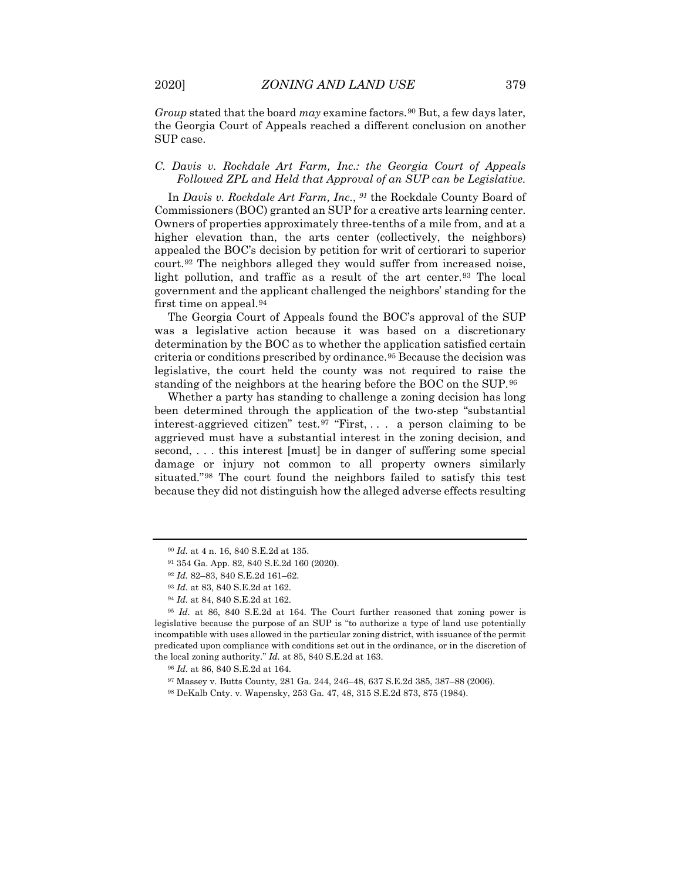*Group* stated that the board *may* examine factors.<sup>[90](#page-13-0)</sup> But, a few days later, the Georgia Court of Appeals reached a different conclusion on another SUP case.

### *C. Davis v. Rockdale Art Farm, Inc.: the Georgia Court of Appeals Followed ZPL and Held that Approval of an SUP can be Legislative.*

In *Davis v. Rockdale Art Farm, Inc.*, *[91](#page-13-1)* the Rockdale County Board of Commissioners (BOC) granted an SUP for a creative arts learning center. Owners of properties approximately three-tenths of a mile from, and at a higher elevation than, the arts center (collectively, the neighbors) appealed the BOC's decision by petition for writ of certiorari to superior court.[92](#page-13-2) The neighbors alleged they would suffer from increased noise, light pollution, and traffic as a result of the art center.<sup>[93](#page-13-3)</sup> The local government and the applicant challenged the neighbors' standing for the first time on appeal.[94](#page-13-4)

The Georgia Court of Appeals found the BOC's approval of the SUP was a legislative action because it was based on a discretionary determination by the BOC as to whether the application satisfied certain criteria or conditions prescribed by ordinance.[95](#page-13-5) Because the decision was legislative, the court held the county was not required to raise the standing of the neighbors at the hearing before the BOC on the SUP.[96](#page-13-6)

Whether a party has standing to challenge a zoning decision has long been determined through the application of the two-step "substantial interest-aggrieved citizen" test.<sup>[97](#page-13-7)</sup> "First, ... a person claiming to be aggrieved must have a substantial interest in the zoning decision, and second, . . . this interest [must] be in danger of suffering some special damage or injury not common to all property owners similarly situated."[98](#page-13-8) The court found the neighbors failed to satisfy this test because they did not distinguish how the alleged adverse effects resulting

<sup>90</sup> *Id.* at 4 n. 16, 840 S.E.2d at 135.

<sup>91</sup> 354 Ga. App. 82, 840 S.E.2d 160 (2020).

<sup>92</sup> *Id.* 82–83, 840 S.E.2d 161–62.

<sup>93</sup> *Id.* at 83, 840 S.E.2d at 162.

<sup>94</sup> *Id.* at 84, 840 S.E.2d at 162.

<span id="page-13-6"></span><span id="page-13-5"></span><span id="page-13-4"></span><span id="page-13-3"></span><span id="page-13-2"></span><span id="page-13-1"></span><span id="page-13-0"></span><sup>95</sup> *Id.* at 86, 840 S.E.2d at 164. The Court further reasoned that zoning power is legislative because the purpose of an SUP is "to authorize a type of land use potentially incompatible with uses allowed in the particular zoning district, with issuance of the permit predicated upon compliance with conditions set out in the ordinance, or in the discretion of the local zoning authority." *Id.* at 85, 840 S.E.2d at 163.

<sup>96</sup> *Id.* at 86, 840 S.E.2d at 164.

<span id="page-13-8"></span><span id="page-13-7"></span><sup>97</sup> Massey v. Butts County, 281 Ga. 244, 246–48, 637 S.E.2d 385, 387–88 (2006).

<sup>98</sup> DeKalb Cnty. v. Wapensky, 253 Ga. 47, 48, 315 S.E.2d 873, 875 (1984).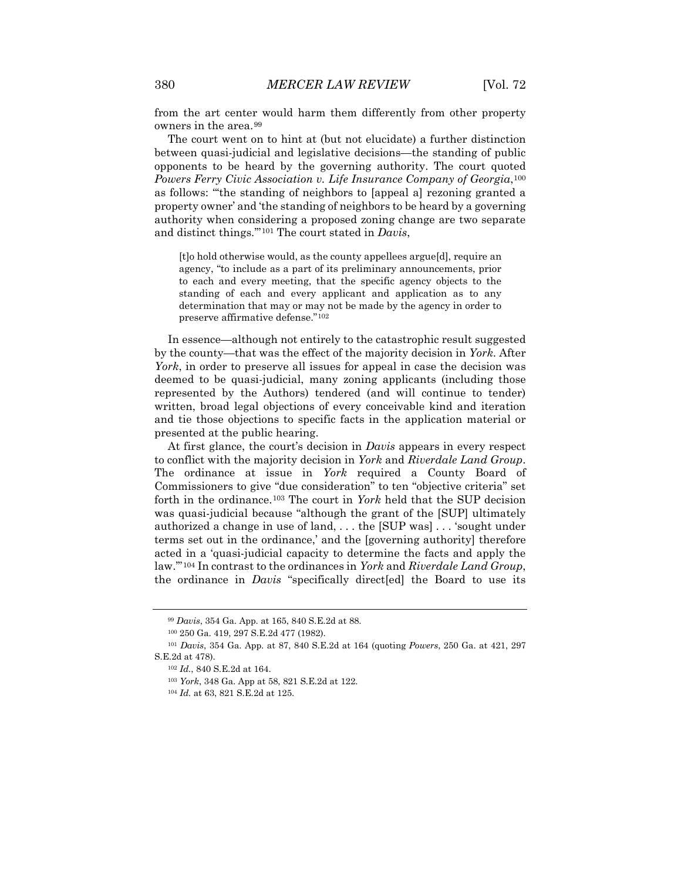from the art center would harm them differently from other property owners in the area.[99](#page-14-0)

The court went on to hint at (but not elucidate) a further distinction between quasi-judicial and legislative decisions—the standing of public opponents to be heard by the governing authority. The court quoted *Powers Ferry Civic Association v. Life Insurance Company of Georgia*,[100](#page-14-1) as follows: "'the standing of neighbors to [appeal a] rezoning granted a property owner' and 'the standing of neighbors to be heard by a governing authority when considering a proposed zoning change are two separate and distinct things.'"[101](#page-14-2) The court stated in *Davis*,

[t]o hold otherwise would, as the county appellees argue[d], require an agency, "to include as a part of its preliminary announcements, prior to each and every meeting, that the specific agency objects to the standing of each and every applicant and application as to any determination that may or may not be made by the agency in order to preserve affirmative defense."[102](#page-14-3)

In essence—although not entirely to the catastrophic result suggested by the county—that was the effect of the majority decision in *York*. After *York*, in order to preserve all issues for appeal in case the decision was deemed to be quasi-judicial, many zoning applicants (including those represented by the Authors) tendered (and will continue to tender) written, broad legal objections of every conceivable kind and iteration and tie those objections to specific facts in the application material or presented at the public hearing.

At first glance, the court's decision in *Davis* appears in every respect to conflict with the majority decision in *York* and *Riverdale Land Group*. The ordinance at issue in *York* required a County Board of Commissioners to give "due consideration" to ten "objective criteria" set forth in the ordinance.[103](#page-14-4) The court in *York* held that the SUP decision was quasi-judicial because "although the grant of the [SUP] ultimately authorized a change in use of land, . . . the [SUP was] . . . 'sought under terms set out in the ordinance,' and the [governing authority] therefore acted in a 'quasi-judicial capacity to determine the facts and apply the law.'"[104](#page-14-5) In contrast to the ordinances in *York* and *Riverdale Land Group*, the ordinance in *Davis* "specifically direct[ed] the Board to use its

<sup>99</sup> *Davis*, 354 Ga. App. at 165, 840 S.E.2d at 88.

<sup>100</sup> 250 Ga. 419, 297 S.E.2d 477 (1982).

<span id="page-14-5"></span><span id="page-14-4"></span><span id="page-14-3"></span><span id="page-14-2"></span><span id="page-14-1"></span><span id="page-14-0"></span><sup>101</sup> *Davis*, 354 Ga. App. at 87, 840 S.E.2d at 164 (quoting *Powers*, 250 Ga. at 421, 297 S.E.2d at 478).

<sup>102</sup> *Id.*, 840 S.E.2d at 164.

<sup>103</sup> *York*, 348 Ga. App at 58, 821 S.E.2d at 122.

<sup>104</sup> *Id.* at 63, 821 S.E.2d at 125.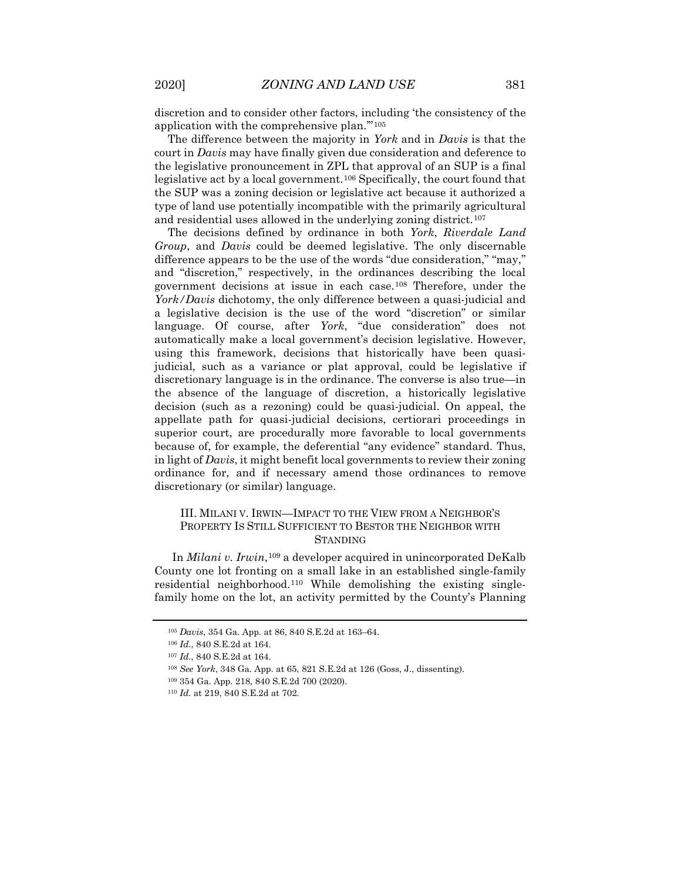discretion and to consider other factors, including 'the consistency of the application with the comprehensive plan.'"[105](#page-15-0)

The difference between the majority in *York* and in *Davis* is that the court in *Davis* may have finally given due consideration and deference to the legislative pronouncement in ZPL that approval of an SUP is a final legislative act by a local government.[106](#page-15-1) Specifically, the court found that the SUP was a zoning decision or legislative act because it authorized a type of land use potentially incompatible with the primarily agricultural and residential uses allowed in the underlying zoning district.<sup>[107](#page-15-2)</sup>

The decisions defined by ordinance in both *York*, *Riverdale Land Group*, and *Davis* could be deemed legislative. The only discernable difference appears to be the use of the words "due consideration," "may," and "discretion," respectively, in the ordinances describing the local government decisions at issue in each case.[108](#page-15-3) Therefore, under the *York/Davis* dichotomy, the only difference between a quasi-judicial and a legislative decision is the use of the word "discretion" or similar language. Of course, after *York*, "due consideration" does not automatically make a local government's decision legislative. However, using this framework, decisions that historically have been quasijudicial, such as a variance or plat approval, could be legislative if discretionary language is in the ordinance. The converse is also true—in the absence of the language of discretion, a historically legislative decision (such as a rezoning) could be quasi-judicial. On appeal, the appellate path for quasi-judicial decisions, certiorari proceedings in superior court, are procedurally more favorable to local governments because of, for example, the deferential "any evidence" standard. Thus, in light of *Davis*, it might benefit local governments to review their zoning ordinance for, and if necessary amend those ordinances to remove discretionary (or similar) language.

## III. MILANI V. IRWIN—IMPACT TO THE VIEW FROM A NEIGHBOR'S PROPERTY IS STILL SUFFICIENT TO BESTOR THE NEIGHBOR WITH **STANDING**

In *Milani v. Irwin*,<sup>[109](#page-15-4)</sup> a developer acquired in unincorporated DeKalb County one lot fronting on a small lake in an established single-family residential neighborhood.[110](#page-15-5) While demolishing the existing singlefamily home on the lot, an activity permitted by the County's Planning

<span id="page-15-0"></span><sup>105</sup> *Davis*, 354 Ga. App. at 86, 840 S.E.2d at 163–64.

<span id="page-15-1"></span><sup>106</sup> *Id.*, 840 S.E.2d at 164.

<span id="page-15-2"></span><sup>107</sup> *Id.*, 840 S.E.2d at 164.

<span id="page-15-3"></span><sup>108</sup> *See York*, 348 Ga. App. at 65, 821 S.E.2d at 126 (Goss, J., dissenting).

<span id="page-15-4"></span><sup>109</sup> 354 Ga. App. 218, 840 S.E.2d 700 (2020).

<span id="page-15-5"></span><sup>110</sup> *Id.* at 219, 840 S.E.2d at 702.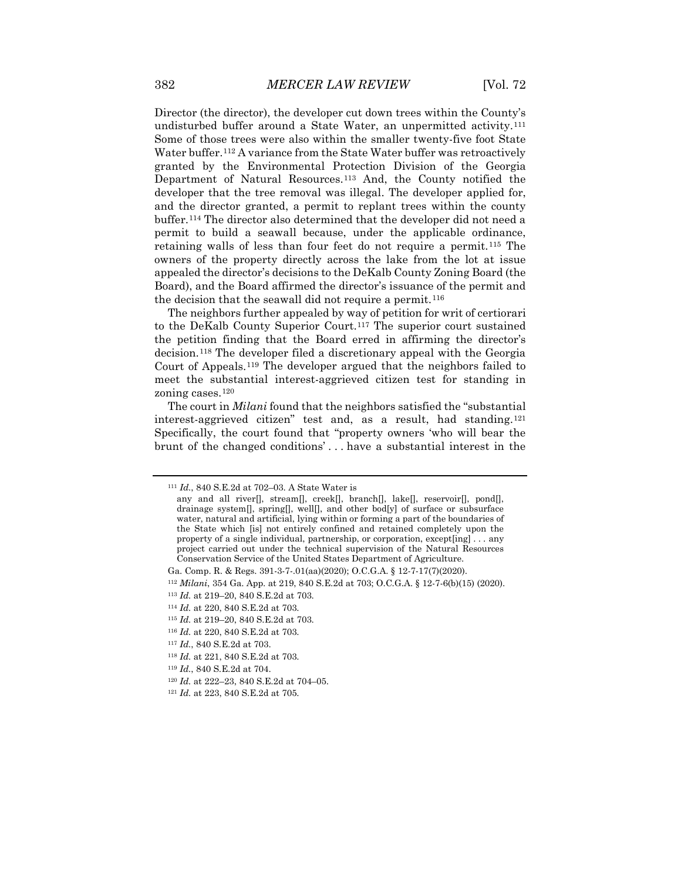Director (the director), the developer cut down trees within the County's undisturbed buffer around a State Water, an unpermitted activity.[111](#page-16-0) Some of those trees were also within the smaller twenty-five foot State Water buffer.<sup>[112](#page-16-1)</sup> A variance from the State Water buffer was retroactively granted by the Environmental Protection Division of the Georgia Department of Natural Resources.<sup>[113](#page-16-2)</sup> And, the County notified the developer that the tree removal was illegal. The developer applied for, and the director granted, a permit to replant trees within the county buffer.[114](#page-16-3) The director also determined that the developer did not need a permit to build a seawall because, under the applicable ordinance, retaining walls of less than four feet do not require a permit.[115](#page-16-4) The owners of the property directly across the lake from the lot at issue appealed the director's decisions to the DeKalb County Zoning Board (the Board), and the Board affirmed the director's issuance of the permit and the decision that the seawall did not require a permit.<sup>[116](#page-16-5)</sup>

The neighbors further appealed by way of petition for writ of certiorari to the DeKalb County Superior Court.[117](#page-16-6) The superior court sustained the petition finding that the Board erred in affirming the director's decision.[118](#page-16-7) The developer filed a discretionary appeal with the Georgia Court of Appeals.[119](#page-16-8) The developer argued that the neighbors failed to meet the substantial interest-aggrieved citizen test for standing in zoning cases.[120](#page-16-9)

The court in *Milani* found that the neighbors satisfied the "substantial interest-aggrieved citizen" test and, as a result, had standing.[121](#page-16-10) Specifically, the court found that "property owners 'who will bear the brunt of the changed conditions' . . . have a substantial interest in the

<span id="page-16-9"></span><sup>120</sup> *Id.* at 222–23, 840 S.E.2d at 704–05.

<span id="page-16-0"></span><sup>111</sup> *Id.*, 840 S.E.2d at 702–03. A State Water is

any and all river[], stream[], creek[], branch[], lake[], reservoir[], pond[], drainage system[], spring[], well[], and other bod[y] of surface or subsurface water, natural and artificial, lying within or forming a part of the boundaries of the State which [is] not entirely confined and retained completely upon the property of a single individual, partnership, or corporation, except[ing] . . . any project carried out under the technical supervision of the Natural Resources Conservation Service of the United States Department of Agriculture.

Ga. Comp. R. & Regs. 391-3-7-.01(aa)(2020); O.C.G.A. § 12-7-17(7)(2020).

<span id="page-16-1"></span><sup>112</sup> *Milani*, 354 Ga. App. at 219, 840 S.E.2d at 703; O.C.G.A. § 12-7-6(b)(15) (2020).

<span id="page-16-2"></span><sup>113</sup> *Id.* at 219–20, 840 S.E.2d at 703.

<span id="page-16-3"></span><sup>114</sup> *Id.* at 220, 840 S.E.2d at 703.

<span id="page-16-5"></span><span id="page-16-4"></span><sup>115</sup> *Id.* at 219–20, 840 S.E.2d at 703. <sup>116</sup> *Id.* at 220, 840 S.E.2d at 703.

<span id="page-16-6"></span><sup>117</sup> *Id.*, 840 S.E.2d at 703.

<span id="page-16-7"></span><sup>118</sup> *Id.* at 221, 840 S.E.2d at 703.

<span id="page-16-8"></span><sup>119</sup> *Id.*, 840 S.E.2d at 704.

<span id="page-16-10"></span><sup>121</sup> *Id.* at 223, 840 S.E.2d at 705.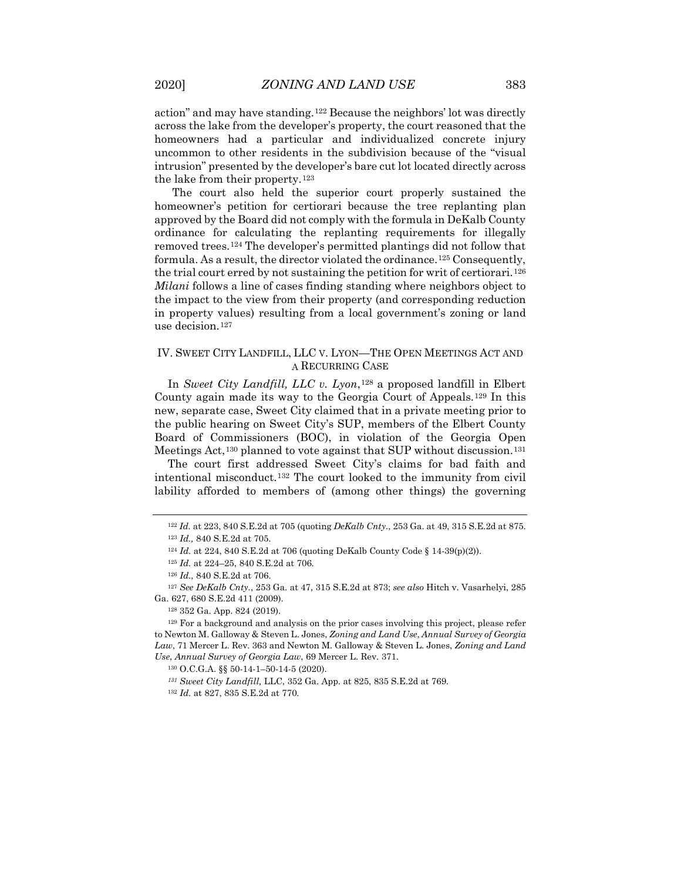action" and may have standing.[122](#page-17-0) Because the neighbors' lot was directly across the lake from the developer's property, the court reasoned that the homeowners had a particular and individualized concrete injury uncommon to other residents in the subdivision because of the "visual intrusion" presented by the developer's bare cut lot located directly across the lake from their property.[123](#page-17-1)

The court also held the superior court properly sustained the homeowner's petition for certiorari because the tree replanting plan approved by the Board did not comply with the formula in DeKalb County ordinance for calculating the replanting requirements for illegally removed trees.[124](#page-17-2) The developer's permitted plantings did not follow that formula. As a result, the director violated the ordinance.<sup>[125](#page-17-3)</sup> Consequently, the trial court erred by not sustaining the petition for writ of certiorari.<sup>[126](#page-17-4)</sup> *Milani* follows a line of cases finding standing where neighbors object to the impact to the view from their property (and corresponding reduction in property values) resulting from a local government's zoning or land use decision.[127](#page-17-5)

### IV. SWEET CITY LANDFILL, LLC V. LYON—THE OPEN MEETINGS ACT AND A RECURRING CASE

In *Sweet City Landfill, LLC v. Lyon*,[128](#page-17-6) a proposed landfill in Elbert County again made its way to the Georgia Court of Appeals.[129](#page-17-7) In this new, separate case, Sweet City claimed that in a private meeting prior to the public hearing on Sweet City's SUP, members of the Elbert County Board of Commissioners (BOC), in violation of the Georgia Open Meetings Act,<sup>[130](#page-17-8)</sup> planned to vote against that SUP without discussion.<sup>[131](#page-17-9)</sup>

The court first addressed Sweet City's claims for bad faith and intentional misconduct.[132](#page-17-10) The court looked to the immunity from civil lability afforded to members of (among other things) the governing

<span id="page-17-5"></span><span id="page-17-4"></span><span id="page-17-3"></span><span id="page-17-2"></span><span id="page-17-1"></span><span id="page-17-0"></span><sup>127</sup> *See DeKalb Cnty.*, 253 Ga. at 47, 315 S.E.2d at 873; *see also* Hitch v. Vasarhelyi, 285 Ga. 627, 680 S.E.2d 411 (2009).

<sup>128</sup> 352 Ga. App. 824 (2019).

<span id="page-17-9"></span><span id="page-17-8"></span><span id="page-17-7"></span><span id="page-17-6"></span><sup>129</sup> For a background and analysis on the prior cases involving this project, please refer to Newton M. Galloway & Steven L. Jones, *Zoning and Land Use*, *Annual Survey of Georgia Law*, 71 Mercer L. Rev. 363 and Newton M. Galloway & Steven L. Jones, *Zoning and Land Use*, *Annual Survey of Georgia Law*, 69 Mercer L. Rev. 371.

<sup>122</sup> *Id.* at 223, 840 S.E.2d at 705 (quoting *DeKalb Cnty.*, 253 Ga. at 49, 315 S.E.2d at 875. <sup>123</sup> *Id.,* 840 S.E.2d at 705.

<sup>124</sup> *Id.* at 224, 840 S.E.2d at 706 (quoting DeKalb County Code § 14-39(p)(2)).

<sup>125</sup> *Id.* at 224–25, 840 S.E.2d at 706.

<sup>126</sup> *Id.*, 840 S.E.2d at 706.

<sup>130</sup> O.C.G.A. §§ 50-14-1–50-14-5 (2020).

*<sup>131</sup> Sweet City Landfill,* LLC, 352 Ga. App. at 825, 835 S.E.2d at 769.

<span id="page-17-10"></span><sup>132</sup> *Id.* at 827, 835 S.E.2d at 770.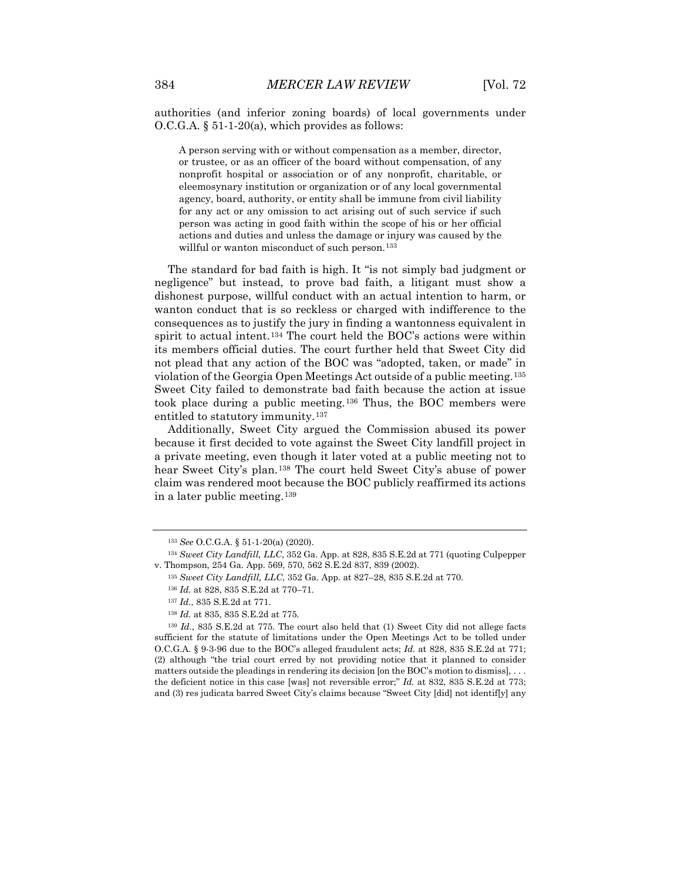authorities (and inferior zoning boards) of local governments under  $O.C.G.A. \S 51-1-20(a)$ , which provides as follows:

A person serving with or without compensation as a member, director, or trustee, or as an officer of the board without compensation, of any nonprofit hospital or association or of any nonprofit, charitable, or eleemosynary institution or organization or of any local governmental agency, board, authority, or entity shall be immune from civil liability for any act or any omission to act arising out of such service if such person was acting in good faith within the scope of his or her official actions and duties and unless the damage or injury was caused by the willful or wanton misconduct of such person.<sup>[133](#page-18-0)</sup>

The standard for bad faith is high. It "is not simply bad judgment or negligence" but instead, to prove bad faith, a litigant must show a dishonest purpose, willful conduct with an actual intention to harm, or wanton conduct that is so reckless or charged with indifference to the consequences as to justify the jury in finding a wantonness equivalent in spirit to actual intent.[134](#page-18-1) The court held the BOC's actions were within its members official duties. The court further held that Sweet City did not plead that any action of the BOC was "adopted, taken, or made" in violation of the Georgia Open Meetings Act outside of a public meeting.[135](#page-18-2) Sweet City failed to demonstrate bad faith because the action at issue took place during a public meeting.[136](#page-18-3) Thus, the BOC members were entitled to statutory immunity.[137](#page-18-4)

Additionally, Sweet City argued the Commission abused its power because it first decided to vote against the Sweet City landfill project in a private meeting, even though it later voted at a public meeting not to hear Sweet City's plan.[138](#page-18-5) The court held Sweet City's abuse of power claim was rendered moot because the BOC publicly reaffirmed its actions in a later public meeting.[139](#page-18-6)

<sup>133</sup> *See* O.C.G.A. § 51-1-20(a) (2020).

<span id="page-18-2"></span><span id="page-18-1"></span><span id="page-18-0"></span><sup>134</sup> *Sweet City Landfill, LLC*, 352 Ga. App. at 828, 835 S.E.2d at 771 (quoting Culpepper v. Thompson, 254 Ga. App. 569, 570, 562 S.E.2d 837, 839 (2002).

<sup>135</sup> *Sweet City Landfill, LLC*, 352 Ga. App. at 827–28, 835 S.E.2d at 770.

<sup>136</sup> *Id.* at 828, 835 S.E.2d at 770–71.

<sup>137</sup> *Id.*, 835 S.E.2d at 771.

<sup>138</sup> *Id.* at 835, 835 S.E.2d at 775.

<span id="page-18-6"></span><span id="page-18-5"></span><span id="page-18-4"></span><span id="page-18-3"></span><sup>139</sup> *Id.*, 835 S.E.2d at 775. The court also held that (1) Sweet City did not allege facts sufficient for the statute of limitations under the Open Meetings Act to be tolled under O.C.G.A. § 9-3-96 due to the BOC's alleged fraudulent acts; *Id.* at 828, 835 S.E.2d at 771; (2) although "the trial court erred by not providing notice that it planned to consider matters outside the pleadings in rendering its decision [on the BOC's motion to dismiss], . . . the deficient notice in this case [was] not reversible error;" *Id.* at 832, 835 S.E.2d at 773; and (3) res judicata barred Sweet City's claims because "Sweet City [did] not identif[y] any